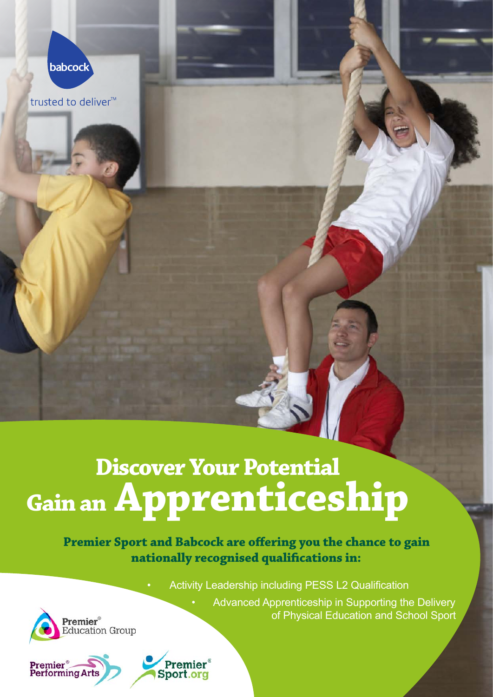

trusted to deliver<sup>™</sup>

# **Discover Your Potential Gain an Apprenticeship**

## **Premier Sport and Babcock are offering you the chance to gain nationally recognised qualifications in:**

Activity Leadership including PESS L2 Qualification

Advanced Apprenticeship in Supporting the Delivery of Physical Education and School Sport